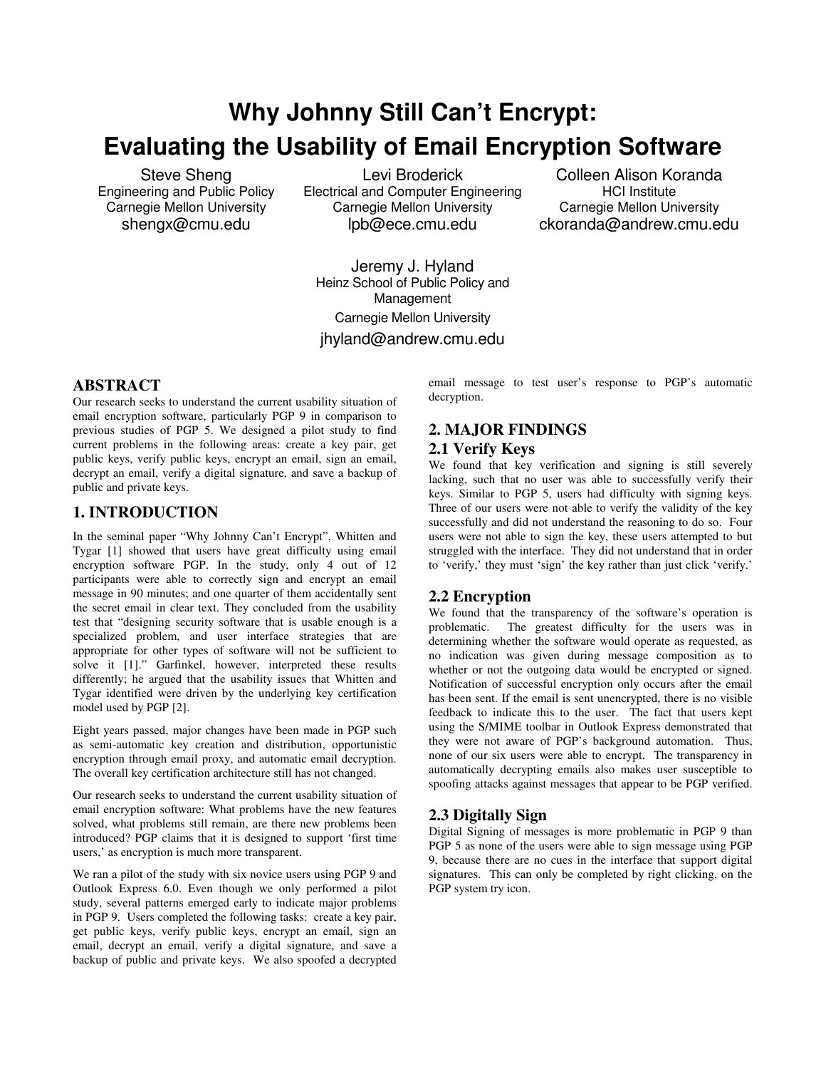# **Why Johnny Still Can't Encrypt: Evaluating the Usability of Email Encryption Software**

Steve Sheng Engineering and Public Policy Carnegie Mellon University shengx@cmu.edu

Levi Broderick Electrical and Computer Engineering Carnegie Mellon University lpb@ece.cmu.edu

Colleen Alison Koranda HCI Institute Carnegie Mellon University ckoranda@andrew.cmu.edu

Jeremy J. Hyland Heinz School of Public Policy and Management Carnegie Mellon University jhyland@andrew.cmu.edu

#### **ABSTRACT**

Our research seeks to understand the current usability situation of email encryption software, particularly PGP 9 in comparison to previous studies of PGP 5. We designed a pilot study to find current problems in the following areas: create a key pair, get public keys, verify public keys, encrypt an email, sign an email, decrypt an email, verify a digital signature, and save a backup of public and private keys.

# **1. INTRODUCTION**

In the seminal paper "Why Johnny Can't Encrypt", Whitten and Tygar [1] showed that users have great difficulty using email encryption software PGP. In the study, only 4 out of 12 participants were able to correctly sign and encrypt an email message in 90 minutes; and one quarter of them accidentally sent the secret email in clear text. They concluded from the usability test that "designing security software that is usable enough is a specialized problem, and user interface strategies that are appropriate for other types of software will not be sufficient to solve it [1]." Garfinkel, however, interpreted these results differently; he argued that the usability issues that Whitten and Tygar identified were driven by the underlying key certification model used by PGP [2].

Eight years passed, major changes have been made in PGP such as semi-automatic key creation and distribution, opportunistic encryption through email proxy, and automatic email decryption. The overall key certification architecture still has not changed.

Our research seeks to understand the current usability situation of email encryption software: What problems have the new features solved, what problems still remain, are there new problems been introduced? PGP claims that it is designed to support 'first time users,' as encryption is much more transparent.

We ran a pilot of the study with six novice users using PGP 9 and Outlook Express 6.0. Even though we only performed a pilot study, several patterns emerged early to indicate major problems in PGP 9. Users completed the following tasks: create a key pair, get public keys, verify public keys, encrypt an email, sign an email, decrypt an email, verify a digital signature, and save a backup of public and private keys. We also spoofed a decrypted

email message to test user's response to PGP's automatic decryption.

# **2. MAJOR FINDINGS**

# **2.1 Verify Keys**

We found that key verification and signing is still severely lacking, such that no user was able to successfully verify their keys. Similar to PGP 5, users had difficulty with signing keys. Three of our users were not able to verify the validity of the key successfully and did not understand the reasoning to do so. Four users were not able to sign the key, these users attempted to but struggled with the interface. They did not understand that in order to 'verify,' they must 'sign' the key rather than just click 'verify.'

#### **2.2 Encryption**

We found that the transparency of the software's operation is problematic. The greatest difficulty for the users was in determining whether the software would operate as requested, as no indication was given during message composition as to whether or not the outgoing data would be encrypted or signed. Notification of successful encryption only occurs after the email has been sent. If the email is sent unencrypted, there is no visible feedback to indicate this to the user. The fact that users kept using the S/MIME toolbar in Outlook Express demonstrated that they were not aware of PGP's background automation. Thus, none of our six users were able to encrypt. The transparency in automatically decrypting emails also makes user susceptible to spoofing attacks against messages that appear to be PGP verified.

#### **2.3 Digitally Sign**

Digital Signing of messages is more problematic in PGP 9 than PGP 5 as none of the users were able to sign message using PGP 9, because there are no cues in the interface that support digital signatures. This can only be completed by right clicking, on the PGP system try icon.